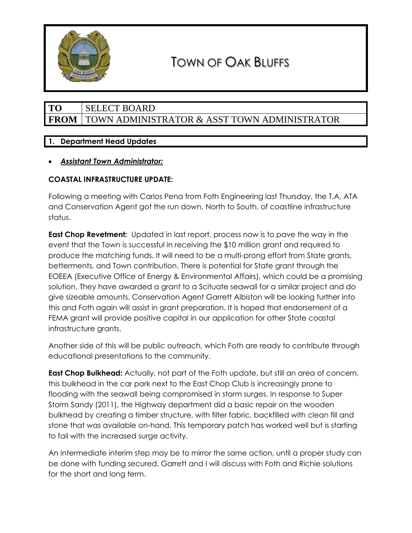

# **TO** SELECT BOARD **FROM** TOWN ADMINISTRATOR & ASST TOWN ADMINISTRATOR

# **1. Department Head Updates**

## • *Assistant Town Administrator:*

# **COASTAL INFRASTRUCTURE UPDATE:**

Following a meeting with Carlos Pena from Foth Engineering last Thursday, the T.A, ATA and Conservation Agent got the run down, North to South, of coastline infrastructure status.

**East Chop Revetment:** Updated in last report, process now is to pave the way in the event that the Town is successful in receiving the \$10 million grant and required to produce the matching funds. It will need to be a multi-prong effort from State grants, betterments, and Town contribution. There is potential for State grant through the EOEEA (Executive Office of Energy & Environmental Affairs), which could be a promising solution. They have awarded a grant to a Scituate seawall for a similar project and do give sizeable amounts. Conservation Agent Garrett Albiston will be looking further into this and Foth again will assist in grant preparation. It is hoped that endorsement of a FEMA grant will provide positive capital in our application for other State coastal infrastructure grants.

Another side of this will be public outreach, which Foth are ready to contribute through educational presentations to the community.

**East Chop Bulkhead:** Actually, not part of the Foth update, but still an area of concern, this bulkhead in the car park next to the East Chop Club is increasingly prone to flooding with the seawall being compromised in storm surges. In response to Super Storm Sandy (2011), the Highway department did a basic repair on the wooden bulkhead by creating a timber structure, with filter fabric, backfilled with clean fill and stone that was available on-hand. This temporary patch has worked well but is starting to fail with the increased surge activity.

An intermediate interim step may be to mirror the same action, until a proper study can be done with funding secured. Garrett and I will discuss with Foth and Richie solutions for the short and long term.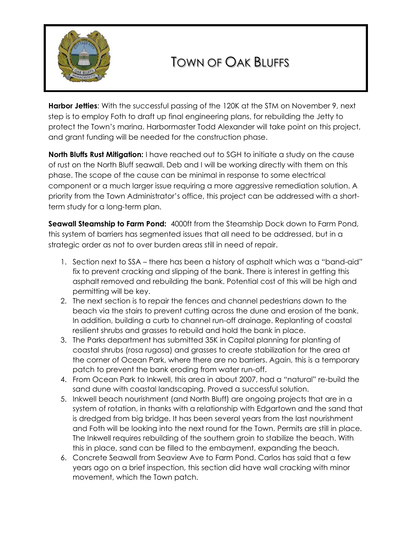

**Harbor Jetties**: With the successful passing of the 120K at the STM on November 9, next step is to employ Foth to draft up final engineering plans, for rebuilding the Jetty to protect the Town's marina. Harbormaster Todd Alexander will take point on this project, and grant funding will be needed for the construction phase.

**North Bluffs Rust Mitigation:** I have reached out to SGH to initiate a study on the cause of rust on the North Bluff seawall. Deb and I will be working directly with them on this phase. The scope of the cause can be minimal in response to some electrical component or a much larger issue requiring a more aggressive remediation solution. A priority from the Town Administrator's office, this project can be addressed with a shortterm study for a long-term plan.

**Seawall Steamship to Farm Pond:** 4000ft from the Steamship Dock down to Farm Pond, this system of barriers has segmented issues that all need to be addressed, but in a strategic order as not to over burden areas still in need of repair.

- 1. Section next to SSA there has been a history of asphalt which was a "band-aid" fix to prevent cracking and slipping of the bank. There is interest in getting this asphalt removed and rebuilding the bank. Potential cost of this will be high and permitting will be key.
- 2. The next section is to repair the fences and channel pedestrians down to the beach via the stairs to prevent cutting across the dune and erosion of the bank. In addition, building a curb to channel run-off drainage. Replanting of coastal resilient shrubs and grasses to rebuild and hold the bank in place.
- 3. The Parks department has submitted 35K in Capital planning for planting of coastal shrubs (rosa rugosa) and grasses to create stabilization for the area at the corner of Ocean Park, where there are no barriers. Again, this is a temporary patch to prevent the bank eroding from water run-off.
- 4. From Ocean Park to Inkwell, this area in about 2007, had a "natural" re-build the sand dune with coastal landscaping. Proved a successful solution.
- 5. Inkwell beach nourishment (and North Bluff) are ongoing projects that are in a system of rotation, in thanks with a relationship with Edgartown and the sand that is dredged from big bridge. It has been several years from the last nourishment and Foth will be looking into the next round for the Town. Permits are still in place. The Inkwell requires rebuilding of the southern groin to stabilize the beach. With this in place, sand can be filled to the embayment, expanding the beach.
- 6. Concrete Seawall from Seaview Ave to Farm Pond. Carlos has said that a few years ago on a brief inspection, this section did have wall cracking with minor movement, which the Town patch.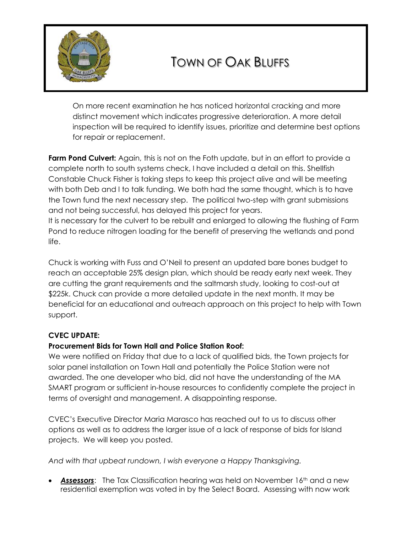

On more recent examination he has noticed horizontal cracking and more distinct movement which indicates progressive deterioration. A more detail inspection will be required to identify issues, prioritize and determine best options for repair or replacement.

**Farm Pond Culvert:** Again, this is not on the Foth update, but in an effort to provide a complete north to south systems check, I have included a detail on this. Shellfish Constable Chuck Fisher is taking steps to keep this project alive and will be meeting with both Deb and I to talk funding. We both had the same thought, which is to have the Town fund the next necessary step. The political two-step with grant submissions and not being successful, has delayed this project for years.

It is necessary for the culvert to be rebuilt and enlarged to allowing the flushing of Farm Pond to reduce nitrogen loading for the benefit of preserving the wetlands and pond life.

Chuck is working with Fuss and O'Neil to present an updated bare bones budget to reach an acceptable 25% design plan, which should be ready early next week. They are cutting the grant requirements and the saltmarsh study, looking to cost-out at \$225k. Chuck can provide a more detailed update in the next month. It may be beneficial for an educational and outreach approach on this project to help with Town support.

## **CVEC UPDATE:**

## **Procurement Bids for Town Hall and Police Station Roof:**

We were notified on Friday that due to a lack of qualified bids, the Town projects for solar panel installation on Town Hall and potentially the Police Station were not awarded. The one developer who bid, did not have the understanding of the MA SMART program or sufficient in-house resources to confidently complete the project in terms of oversight and management. A disappointing response.

CVEC's Executive Director Maria Marasco has reached out to us to discuss other options as well as to address the larger issue of a lack of response of bids for Island projects. We will keep you posted.

*And with that upbeat rundown, I wish everyone a Happy Thanksgiving.*

**Assessors:** The Tax Classification hearing was held on November 16<sup>th</sup> and a new residential exemption was voted in by the Select Board. Assessing with now work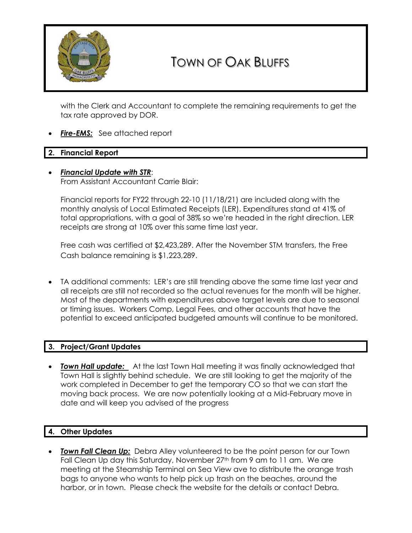

with the Clerk and Accountant to complete the remaining requirements to get the tax rate approved by DOR.

**Fire-EMS:** See attached report

### **2. Financial Report**

• *Financial Update with STR*: From Assistant Accountant Carrie Blair:

Financial reports for FY22 through 22-10 (11/18/21) are included along with the monthly analysis of Local Estimated Receipts (LER). Expenditures stand at 41% of total appropriations, with a goal of 38% so we're headed in the right direction. LER

receipts are strong at 10% over this same time last year.

Free cash was certified at \$2,423,289. After the November STM transfers, the Free Cash balance remaining is \$1,223,289.

• TA additional comments: LER's are still trending above the same time last year and all receipts are still not recorded so the actual revenues for the month will be higher. Most of the departments with expenditures above target levels are due to seasonal or timing issues. Workers Comp, Legal Fees, and other accounts that have the potential to exceed anticipated budgeted amounts will continue to be monitored.

### **3. Project/Grant Updates**

**Town Hall update:** At the last Town Hall meeting it was finally acknowledged that Town Hall is slightly behind schedule. We are still looking to get the majority of the work completed in December to get the temporary CO so that we can start the moving back process. We are now potentially looking at a Mid-February move in date and will keep you advised of the progress

## **4. Other Updates**

• *Town Fall Clean Up:* Debra Alley volunteered to be the point person for our Town Fall Clean Up day this Saturday, November 27<sup>th</sup> from 9 am to 11 am. We are meeting at the Steamship Terminal on Sea View ave to distribute the orange trash bags to anyone who wants to help pick up trash on the beaches, around the harbor, or in town. Please check the website for the details or contact Debra.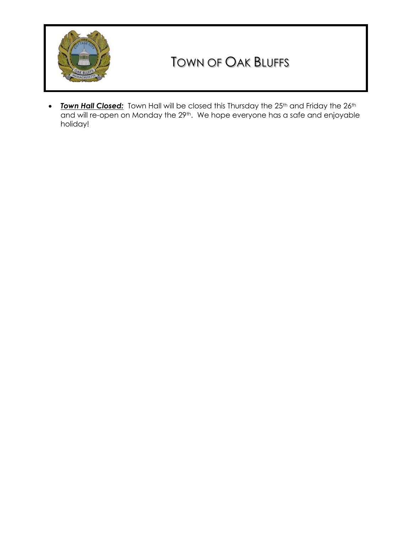

• *Town Hall Closed:* Town Hall will be closed this Thursday the 25<sup>th</sup> and Friday the 26<sup>th</sup> and will re-open on Monday the 29<sup>th</sup>. We hope everyone has a safe and enjoyable holiday!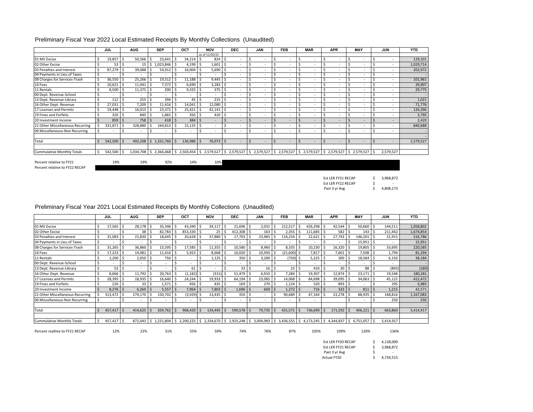| Preliminary Fiscal Year 2022 Local Estimated Receipts By Monthly Collections (Unaudited) |  |  |
|------------------------------------------------------------------------------------------|--|--|
|                                                                                          |  |  |

|                                   |    | <b>JUL</b>               |     | <b>AUG</b>               |     | <b>SEP</b> | OCT     |     | <b>NOV</b>               |       | <b>DEC</b>               |    | <b>JAN</b> | <b>FEB</b>                                                                                                                        | <b>MAR</b>               | <b>APR</b>               | MAY |   | JUN       | <b>YTD</b> |
|-----------------------------------|----|--------------------------|-----|--------------------------|-----|------------|---------|-----|--------------------------|-------|--------------------------|----|------------|-----------------------------------------------------------------------------------------------------------------------------------|--------------------------|--------------------------|-----|---|-----------|------------|
|                                   |    |                          |     |                          |     |            |         |     | as of 11/20/21           |       |                          |    |            |                                                                                                                                   |                          |                          |     |   |           |            |
| 01 MV Excise                      |    | 19,857                   |     | 50,566                   |     | 23,641     | 34,214  | -Ś  | 824S                     |       |                          |    | ۰          | $\overline{\phantom{a}}$                                                                                                          |                          | $\overline{\phantom{a}}$ | ٠   |   | $\sim$    | 129,101    |
| 02 Other Excise                   |    | 53                       | Ś   | 15                       |     | 1,023,846  | 4,199   | -Ś  | $1,601$ \$               |       | $\sim$                   |    | ۰          | ۰                                                                                                                                 | $\overline{\phantom{a}}$ |                          |     |   | ٠         | 1,029,714  |
| 03 Penalties and Interest         |    | 87,279                   |     | 39,088                   |     | 54,912     | 16,004  |     | $5,690$ \$               |       | $\sim$                   |    | ۰          | ۰                                                                                                                                 | $\overline{\phantom{a}}$ |                          |     |   |           | 202,972    |
| 04 Payments in Lieu of Taxes      | Ś  |                          | S   | ٠                        |     | ۰          |         | S,  | $\overline{\phantom{a}}$ |       | $\sim$                   | S  | ۰          | $\overline{\phantom{a}}$                                                                                                          | $\overline{\phantom{a}}$ | $\sim$                   |     |   | $\sim$    | $\sim$     |
| 08 Charges for Services-Trash     |    | 36,550                   |     | 25,266                   |     | 19,512     | 11,188  |     | 9,445                    |       |                          |    | ۰          | ٠                                                                                                                                 |                          |                          |     |   | ٠         | 101,961    |
| 10 Fees                           |    | 10,621                   |     | 11,941                   | l S | 7,372      | 6,690   |     | $3,283$ \$               |       |                          |    | ٠          |                                                                                                                                   |                          |                          |     |   |           | 39,907     |
| 11 Rentals                        |    | 8,500                    |     | 11,375                   |     | 200        | 9,325   | S,  | 375 <sup>5</sup>         |       |                          |    | ۰          | $\overline{\phantom{a}}$                                                                                                          | $\overline{\phantom{a}}$ |                          |     |   |           | 29,775     |
| 00 Dept. Revenue-School           |    |                          |     | $\overline{\phantom{a}}$ |     |            |         |     |                          |       | $\sim$                   |    | ۰          | ٠                                                                                                                                 | $\overline{\phantom{a}}$ | $\overline{\phantom{a}}$ |     |   | ٠         | $\sim$     |
| 13 Dept. Revenue-Library          |    | 112                      |     | 255                      |     | 394        | 45      |     | 215 <sup>5</sup>         |       |                          |    | ٠          | ٠                                                                                                                                 | $\overline{\phantom{a}}$ |                          |     |   |           | 1,021      |
| 16 Other Dept. Revenue            |    | 27,031                   | S   | 7,209                    |     | 11,416     | 14,041  | - 5 | 12,080 \$                |       |                          | S  | ٠          | $\overline{\phantom{a}}$                                                                                                          | $\overline{\phantom{a}}$ |                          |     |   |           | 71,776     |
| 17 Licenses and Permits           |    | 19,448                   |     | 16,015                   |     | 23,372     | 25,421  |     | 42,141                   | . I S | $\sim$                   |    | ۰          | $\overline{\phantom{a}}$                                                                                                          | $\overline{\phantom{a}}$ | $\overline{\phantom{a}}$ |     |   |           | 126,396    |
| 19 Fines and Forfeits             |    | 320                      |     | 840 \$                   |     | 1,865      | 350     |     | 420:5                    |       | $\sim$                   |    | ۰.         | $\overline{\phantom{a}}$                                                                                                          | $\overline{\phantom{a}}$ |                          |     |   | $\sim$    | 3,795      |
| 20 Investment Income              |    | 859                      | \$. | 758 \$                   |     | 418        | 384     | S.  |                          |       | $\sim$                   |    | ۰          | ۰                                                                                                                                 | $\overline{a}$           |                          |     |   |           | 2,420      |
| 21 Other Miscellaneous-Recurring  |    | 331,871                  | S   | 328,880                  |     | 164,813    | 15,125  | S,  | $\overline{\phantom{a}}$ |       | $\sim$                   |    | ۰          |                                                                                                                                   | $\sim$                   | $\overline{\phantom{a}}$ |     |   | ٠         | 840,688    |
| 00 Miscellaneous-Non Recurring    |    | $\overline{\phantom{a}}$ |     | ٠                        |     |            |         | S,  | $\overline{\phantom{a}}$ |       | $\overline{\phantom{a}}$ | ς. | ۰          | $\overline{\phantom{a}}$                                                                                                          | $\overline{\phantom{a}}$ | $\overline{\phantom{a}}$ |     |   | ٠         | $\sim$     |
|                                   |    |                          |     |                          |     |            |         |     |                          |       |                          |    |            |                                                                                                                                   |                          |                          |     |   |           |            |
| Total                             |    | 542,500                  |     | $492,208$ \$             |     | 1,331,760  | 136,986 |     | 76,073 \$                |       | $\sim$                   | Ŝ. |            | $\overline{a}$                                                                                                                    | $\overline{a}$           |                          |     | ς | ٠         | 2,579,527  |
|                                   |    |                          |     |                          |     |            |         |     |                          |       |                          |    |            |                                                                                                                                   |                          |                          |     |   |           |            |
| <b>Cummulative Monthly Totals</b> | Ŝ. | 542,500                  | Ŝ   |                          |     |            |         |     |                          |       |                          |    |            | 1,034,708 \$ 2,366,468 \$ 2,503,454 \$ 2,579,527 \$ 2,579,527 \$ 2,579,527 \$ 2,579,527 \$ 2,579,527 \$ 2,579,527 \$ 2,579,527 \$ |                          |                          |     |   | 2,579,527 |            |
|                                   |    |                          |     |                          |     |            |         |     |                          |       |                          |    |            |                                                                                                                                   |                          |                          |     |   |           |            |
| Percent relative to FY21          |    | 19%                      |     | 19%                      |     | 92%        | 14%     |     | 10%                      |       |                          |    |            |                                                                                                                                   |                          |                          |     |   |           |            |

Percent relative to FY22 RECAP

| Est LER FY21 RECAP |   | 3,968,872                |
|--------------------|---|--------------------------|
| Est LER FY22 RECAP | S | $\overline{\phantom{a}}$ |
| Past 3 yr Avg      |   | 4,808,173                |

### Preliminary Fiscal Year 2021 Local Estimated Receipts By Monthly Collections (Unaudited)

|                                   | JUL |            |   | <b>AUG</b>      |     | <b>SEP</b> | OCT       |   | <b>NOV</b>           |     | <b>DEC</b>             |     | <b>JAN</b> |    | <b>FEB</b>     | <b>MAR</b> |    | <b>APR</b> |     | <b>MAY</b>    | <b>JUN</b> | <b>YTD</b> |
|-----------------------------------|-----|------------|---|-----------------|-----|------------|-----------|---|----------------------|-----|------------------------|-----|------------|----|----------------|------------|----|------------|-----|---------------|------------|------------|
|                                   |     |            |   |                 |     |            |           |   |                      |     |                        |     |            |    |                |            |    |            |     |               |            |            |
| 01 MV Excise                      |     | 17,565     |   | 28,178          |     | 35,346     | 43,340    |   | 34,117               |     | 21,696                 | l S | 2,031      |    | 212,517        | 426,298    |    | 42,544     |     | 50,660 \$     | 144,511    | 1,058,802  |
| 02 Other Excise                   |     |            |   | 38              |     | 82,783     | 853,330   |   | $25$   $\frac{2}{3}$ |     | 412,308                |     | 163        |    | 2,355          | 111,685    |    | 582        |     | $143 \quad$   | 211,442    | 1,674,854  |
| 03 Penalties and Interest         |     | 31,083     |   | 21,830          |     | 18,645     | 20,628    |   | 37,880               |     | 17,703                 | S   | 23,983     |    | 116,254        | 22,621     |    | 27,743     |     | 146,501 \$    | 31,915     | 516,786    |
| 04 Payments in Lieu of Taxes      |     |            |   |                 |     |            |           |   |                      |     |                        |     |            |    |                |            |    |            |     | $15,951$   \$ |            | 15,951     |
| 08 Charges for Services-Trash     |     | 31,265     |   | 36,860          |     | 15,595     | 17,585    |   | 11,355               |     | 10,580                 |     | 8,960      |    | 8,335          | 10,230     |    | 16,320     |     | 19,805        | 33,695     | 220,585    |
| 10 Fees                           |     | 17,223     |   | 14,481          |     | 11,410     | 5,923     |   | 8,668 \$             |     | 10,020                 |     | 10,450     |    | $(21,600)$ \$  | 7,817      |    | 7,601      |     | 7,508         | 1,794      | 81,294     |
| 11 Rentals                        |     | 1,200      | 5 | 2,050           |     | 750        |           |   | $1,125$ S            |     | 350                    | l S | 3,200      |    | $(750)$ \$     | 5,225      | .S | 300        |     | 18,584        | 6,150      | 38,184     |
| 00 Dept. Revenue-School           |     |            |   |                 |     |            |           |   |                      |     |                        |     |            |    |                |            |    |            |     |               | $\sim$     |            |
| 13 Dept. Revenue-Library          |     | 53         | S |                 |     |            | 61        |   |                      |     | 33                     | l S | 16         |    | 23             | 410        |    | 30         |     | 88 I          | (893)      | (180)      |
| 16 Other Dept. Revenue            |     | 8,666      |   | 11,792          |     | 20,763     | (1, 182)  |   | $(331)$ \$           |     | 51,479                 | I S | 6,910      |    | 7,284          | 19,307     |    | 12,874     |     | 23,171        | 19,548     | 180,281    |
| 17 Licenses and Permits           |     | 28,395     |   | 18,935          |     | 16,640     | 24,244    |   | 19,933               | 1 S | 64,194                 | l S | 23,085     |    | 14,068         | 84,698     |    | 39,095     |     | 34,063 \$     | 45,122     | 412,472    |
| 19 Fines and Forfeits             |     | 220        |   | 33 <sup>5</sup> |     | 1,571      | 456       |   | $435$ $\pm$          |     | 169                    | l S | 270        |    | 1,124          | 520        |    | 893        |     |               | 295        | 5,985      |
| 20 Investment Income              |     | $8,276$ \$ |   | 6,260           | I S | 5,557      | 7,964     |   | 7,803                | ΙS  | $1,696$ \$             |     | 669        |    | 1,272          | 716        | -S | 332        |     | 811           | 1,215      | 42,571     |
| 21 Other Miscellaneous-Recurring  |     | 313,472    |   | 274,170         |     | 150,702    | (3,929)   |   | 13,435               |     | 350                    |     |            |    | 90,689         | 47,164     |    | 23,278     |     | 88,935 \$     | 168,816    | 1,167,083  |
| 00 Miscellaneous-Non Recurring    |     |            |   | $\overline{a}$  |     |            |           | S |                      |     |                        |     |            |    |                |            |    |            |     |               | 250        | 250        |
|                                   |     |            |   |                 |     |            |           |   |                      |     |                        |     |            |    |                |            |    |            |     |               |            |            |
| Total                             |     | 457,417    |   | 414,625         | l S | 359,762    | 968,420   | S | 134,445              |     | 590,578                | l S | 79,735     |    | 431,571        | 736,690    | -S | 171,592    |     | 406,221       | 663,860    | 5,414,917  |
|                                   |     |            |   |                 |     |            |           |   |                      |     |                        |     |            |    |                |            |    |            |     |               |            |            |
| <b>Cummulative Monthly Totals</b> | -S  | 457,417    |   | 872.043         | I S | 1,231,804  | 2.200.225 |   | \$2,334,670          | I\$ | 2,925,248 \$ 3,004,983 |     |            | -S | $3,436,555$ \$ | 4.173.245  | Ŝ. | 4,344,837  | l S | 4,751,057     | 5,414,917  |            |

Percent realtive to FY21 RECAP 12% 22% 31% 55% 59% 74% 76% 87% 105% 109% 120% 136%

| Est LER FY20 RECAP | S | 4,128,000 |
|--------------------|---|-----------|
| Est LER FY21 RECAP | S | 3.968.872 |
| Past 3 yr Avg      | Ś | -         |
| Actual FY20        | ς | 4,734,515 |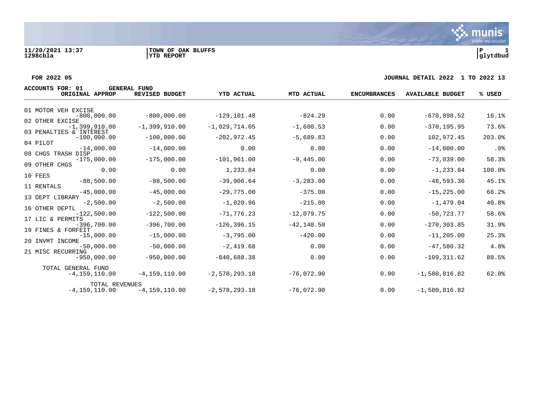



#### **FOR 2022 05 JOURNAL DETAIL 2022 1 TO 2022 13**

| ACCOUNTS FOR: 01                                        | <b>GENERAL FUND</b> |                   |               |                     |                         |        |
|---------------------------------------------------------|---------------------|-------------------|---------------|---------------------|-------------------------|--------|
| ORIGINAL APPROP                                         | REVISED BUDGET      | <b>YTD ACTUAL</b> | MTD ACTUAL    | <b>ENCUMBRANCES</b> | <b>AVAILABLE BUDGET</b> | % USED |
| 01 MOTOR VEH EXCISE                                     |                     |                   |               |                     |                         |        |
| $-800,000.00$<br>02 OTHER EXCISE                        | $-800,000.00$       | $-129, 101.48$    | $-824.29$     | 0.00                | $-670,898.52$           | 16.1%  |
| $-1,399,910.00$<br>03 PENALTIES & INTEREST              | $-1,399,910.00$     | $-1,029,714.05$   | $-1,600.53$   | 0.00                | $-370, 195.95$          | 73.6%  |
| $-100,000.00$                                           | $-100,000.00$       | $-202,972.45$     | $-5,689.83$   | 0.00                | 102,972.45              | 203.0% |
| 04 PILOT<br>$-14,000.00$                                | $-14,000.00$        | 0.00              | 0.00          | 0.00                | $-14,000.00$            | .0%    |
| 08 CHGS TRASH DISP<br>$-175,000.00$                     | $-175,000.00$       | $-101,961.00$     | $-9,445.00$   | 0.00                | $-73,039.00$            | 58.3%  |
| 09 OTHER CHGS<br>0.00                                   | 0.00                | 1,233.84          | 0.00          | 0.00                | $-1, 233.84$            | 100.0% |
| 10 FEES<br>$-88,500.00$                                 | $-88,500.00$        | $-39,906.64$      | $-3, 283.00$  | 0.00                | $-48,593.36$            | 45.1%  |
| 11 RENTALS<br>$-45,000.00$                              | $-45,000.00$        | $-29,775.00$      | $-375.00$     | 0.00                | $-15, 225.00$           | 66.2%  |
| 13 DEPT LIBRARY<br>$-2,500.00$                          | $-2,500.00$         | $-1,020.96$       | $-215.00$     | 0.00                | $-1,479.04$             | 40.8%  |
| 16 OTHER DEPTL<br>$-122,500.00$                         | $-122,500.00$       | $-71, 776.23$     | $-12,079.75$  | 0.00                | $-50, 723, 77$          | 58.6%  |
| 17 LIC & PERMITS<br>$-396,700.00$<br>19 FINES & FORFEIT | $-396,700.00$       | $-126, 396.15$    | $-42, 140.50$ | 0.00                | $-270, 303.85$          | 31.9%  |
| $-15,000.00$<br>20 INVMT INCOME                         | $-15,000.00$        | $-3,795.00$       | $-420.00$     | 0.00                | $-11, 205.00$           | 25.3%  |
| $-50,000.00$                                            | $-50,000.00$        | $-2,419.68$       | 0.00          | 0.00                | $-47,580.32$            | 4.8%   |
| 21 MISC RECURRING<br>$-950,000.00$                      | $-950,000.00$       | $-840,688.38$     | 0.00          | 0.00                | $-109, 311.62$          | 88.5%  |
| TOTAL GENERAL FUND<br>$-4,159,110.00$                   | $-4, 159, 110.00$   | $-2,578,293.18$   | $-76,072.90$  | 0.00                | $-1,580,816.82$         | 62.0%  |
| <b>TOTAL REVENUES</b><br>$-4, 159, 110.00$              | $-4, 159, 110.00$   | $-2,578,293.18$   | $-76,072.90$  | 0.00                | $-1,580,816.82$         |        |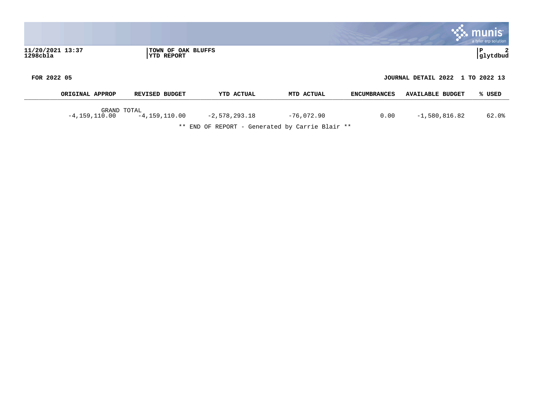|                                 |                                         |                   |            |                     |                                  | <b>munis</b><br>a tyler erp solution |
|---------------------------------|-----------------------------------------|-------------------|------------|---------------------|----------------------------------|--------------------------------------|
| 11/20/2021 13:37<br>$1298$ cbla | TOWN OF OAK BLUFFS<br><b>YTD REPORT</b> |                   |            |                     |                                  | 2<br>IΡ<br>glytdbud                  |
| FOR 2022 05                     |                                         |                   |            |                     | JOURNAL DETAIL 2022 1 TO 2022 13 |                                      |
| ORIGINAL APPROP                 | <b>REVISED BUDGET</b>                   | <b>YTD ACTUAL</b> | MTD ACTUAL | <b>ENCUMBRANCES</b> | <b>AVAILABLE BUDGET</b>          | % USED                               |

GRAND TOTAL -4,159,110.00 -4,159,110.00 -2,578,293.18 -76,072.90 0.00 -1,580,816.82 62.0%

\*\* END OF REPORT - Generated by Carrie Blair \*\*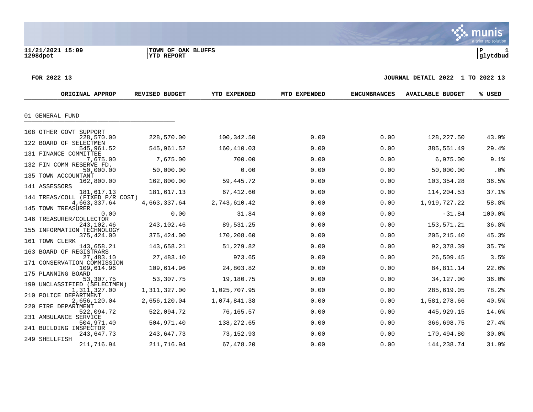**11/21/2021 15:09 |TOWN OF OAK BLUFFS |P 1**

 $\ddot{\mathbf{w}}$  munis a tyler erp solution

#### **FOR 2022 13 JOURNAL DETAIL 2022 1 TO 2022 13**

| ORIGINAL APPROP                               | <b>REVISED BUDGET</b> | <b>YTD EXPENDED</b> | MTD EXPENDED | <b>ENCUMBRANCES</b> | <b>AVAILABLE BUDGET</b> | % USED |
|-----------------------------------------------|-----------------------|---------------------|--------------|---------------------|-------------------------|--------|
| 01 GENERAL FUND                               |                       |                     |              |                     |                         |        |
| 108 OTHER GOVT SUPPORT                        |                       |                     |              |                     |                         |        |
| 228,570.00                                    | 228,570.00            | 100,342.50          | 0.00         | 0.00                | 128,227.50              | 43.9%  |
| 122 BOARD OF SELECTMEN<br>545,961.52          | 545,961.52            | 160,410.03          | 0.00         | 0.00                | 385,551.49              | 29.4%  |
| 131 FINANCE COMMITTEE                         |                       |                     |              |                     |                         |        |
| 7,675.00<br>132 FIN COMM RESERVE FD.          | 7,675.00              | 700.00              | 0.00         | 0.00                | 6,975.00                | 9.1%   |
| 50,000.00                                     | 50,000.00             | 0.00                | 0.00         | 0.00                | 50,000.00               | .0%    |
| 135 TOWN ACCOUNTANT<br>162,800.00             | 162,800.00            | 59,445.72           | 0.00         | 0.00                | 103,354.28              | 36.5%  |
| 141 ASSESSORS                                 |                       |                     |              |                     |                         |        |
| 181,617.13<br>144 TREAS/COLL (FIXED P/R COST) | 181,617.13            | 67,412.60           | 0.00         | 0.00                | 114,204.53              | 37.1%  |
| 4,663,337.64                                  | 4,663,337.64          | 2,743,610.42        | 0.00         | 0.00                | 1,919,727.22            | 58.8%  |
| 145 TOWN TREASURER<br>0.00                    | 0.00                  | 31.84               | 0.00         | 0.00                | $-31.84$                | 100.0% |
| 146 TREASURER/COLLECTOR                       |                       |                     |              |                     |                         |        |
| 243,102.46<br>155 INFORMATION TECHNOLOGY      | 243,102.46            | 89,531.25           | 0.00         | 0.00                | 153,571.21              | 36.8%  |
| 375,424.00                                    | 375,424.00            | 170,208.60          | 0.00         | 0.00                | 205, 215.40             | 45.3%  |
| 161 TOWN CLERK<br>143,658.21                  | 143,658.21            | 51,279.82           | 0.00         | 0.00                | 92,378.39               | 35.7%  |
| 163 BOARD OF REGISTRARS                       |                       |                     |              |                     |                         |        |
| 27,483.10                                     | 27,483.10             | 973.65              | 0.00         | 0.00                | 26,509.45               | 3.5%   |
| 171 CONSERVATION COMMISSION<br>109,614.96     | 109,614.96            | 24,803.82           | 0.00         | 0.00                | 84,811.14               | 22.6%  |
| 175 PLANNING BOARD                            |                       |                     |              |                     |                         |        |
| 53,307.75<br>199 UNCLASSIFIED (SELECTMEN)     | 53,307.75             | 19,180.75           | 0.00         | 0.00                | 34,127.00               | 36.0%  |
| 1,311,327.00                                  | 1,311,327.00          | 1,025,707.95        | 0.00         | 0.00                | 285,619.05              | 78.2%  |
| 210 POLICE DEPARTMENT<br>2,656,120.04         | 2,656,120.04          | 1,074,841.38        | 0.00         | 0.00                | 1,581,278.66            | 40.5%  |
| 220 FIRE DEPARTMENT                           |                       |                     |              |                     |                         |        |
| 522,094.72<br>231 AMBULANCE SERVICE           | 522,094.72            | 76,165.57           | 0.00         | 0.00                | 445,929.15              | 14.6%  |
| 504,971.40                                    | 504,971.40            | 138,272.65          | 0.00         | 0.00                | 366,698.75              | 27.4%  |
| 241 BUILDING INSPECTOR<br>243,647.73          | 243,647.73            | 73,152.93           | 0.00         | 0.00                | 170,494.80              | 30.0%  |
| 249 SHELLFISH                                 |                       |                     |              |                     |                         |        |
| 211,716.94                                    | 211,716.94            | 67,478.20           | 0.00         | 0.00                | 144, 238. 74            | 31.9%  |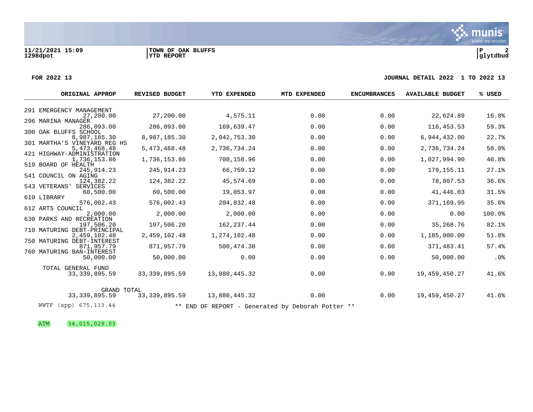#### **FOR 2022 13 JOURNAL DETAIL 2022 1 TO 2022 13**

| ORIGINAL APPROP                              | <b>REVISED BUDGET</b> | <b>YTD EXPENDED</b>                               | MTD EXPENDED | <b>ENCUMBRANCES</b> | <b>AVAILABLE BUDGET</b> | % USED |
|----------------------------------------------|-----------------------|---------------------------------------------------|--------------|---------------------|-------------------------|--------|
|                                              |                       |                                                   |              |                     |                         |        |
| 291 EMERGENCY MANAGEMENT<br>27,200.00        | 27,200.00             | 4,575.11                                          | 0.00         | 0.00                | 22,624.89               | 16.8%  |
| 296 MARINA MANAGER<br>286,093.00             | 286,093.00            | 169,639.47                                        | 0.00         | 0.00                | 116, 453.53             | 59.3%  |
| 300 OAK BLUFFS SCHOOL                        |                       |                                                   |              |                     |                         |        |
| 8,987,185.30                                 | 8,987,185.30          | 2,042,753.30                                      | 0.00         | 0.00                | 6,944,432.00            | 22.7%  |
| 301 MARTHA'S VINEYARD REG HS<br>5,473,468.48 | 5,473,468.48          | 2,736,734.24                                      | 0.00         | 0.00                | 2,736,734.24            | 50.0%  |
| 421 HIGHWAY-ADMINISTRATION                   |                       |                                                   |              |                     |                         |        |
| 1,736,153.86<br>519 BOARD OF HEALTH          | 1,736,153.86          | 708,158.96                                        | 0.00         | 0.00                | 1,027,994.90            | 40.8%  |
| 245, 914.23                                  | 245, 914.23           | 66,759.12                                         | 0.00         | 0.00                | 179, 155. 11            | 27.1%  |
| 541 COUNCIL ON AGING<br>124,382.22           | 124,382.22            | 45,574.69                                         | 0.00         | 0.00                | 78,807.53               | 36.6%  |
| 543 VETERANS'<br>SERVICES                    |                       |                                                   |              |                     |                         |        |
| 60,500.00                                    | 60,500.00             | 19,053.97                                         | 0.00         | 0.00                | 41,446.03               | 31.5%  |
| 610 LIBRARY<br>576,002.43                    | 576,002.43            | 204,832.48                                        | 0.00         | 0.00                | 371,169.95              | 35.6%  |
| 612 ARTS COUNCIL                             |                       |                                                   |              |                     |                         |        |
| 2,000.00<br>630 PARKS AND RECREATION         | 2,000.00              | 2,000.00                                          | 0.00         | 0.00                | 0.00                    | 100.0% |
| 197,506.20                                   | 197,506.20            | 162, 237.44                                       | 0.00         | 0.00                | 35,268.76               | 82.1%  |
| 710 MATURING DEBT-PRINCIPAL<br>2,459,102.48  | 2,459,102.48          | 1,274,102.48                                      | 0.00         | 0.00                | 1,185,000.00            | 51.8%  |
| 750 MATURING DEBT-INTEREST                   |                       |                                                   |              |                     |                         |        |
| 871,957.79                                   | 871,957.79            | 500, 474.38                                       | 0.00         | 0.00                | 371,483.41              | 57.4%  |
| 760 MATURING BAN-INTEREST<br>50,000.00       | 50,000.00             | 0.00                                              | 0.00         | 0.00                | 50,000.00               | .0%    |
| TOTAL GENERAL FUND                           |                       |                                                   |              |                     |                         |        |
| 33, 339, 895. 59                             | 33, 339, 895.59       | 13,880,445.32                                     | 0.00         | 0.00                | 19, 459, 450. 27        | 41.6%  |
| <b>GRAND TOTAL</b>                           |                       |                                                   |              |                     |                         |        |
| 33, 339, 895.59                              | 33, 339, 895.59       | 13,880,445.32                                     | 0.00         | 0.00                | 19, 459, 450. 27        | 41.6%  |
| WWTF<br>$(app)$ 675, 133.44                  |                       | ** END OF REPORT - Generated by Deborah Potter ** |              |                     |                         |        |

ATM 34,015,029.03